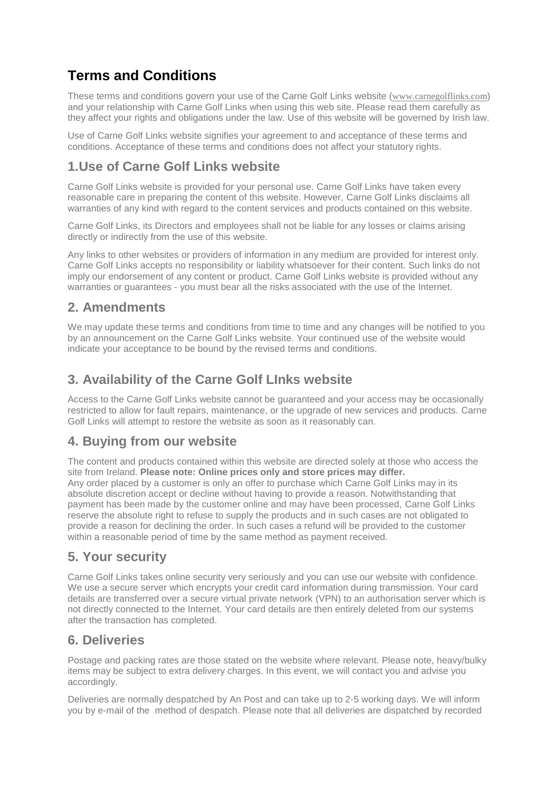# **Terms and Conditions**

These terms and conditions govern your use of the Carne Golf Links website ([www.c](http://www./)arnegolflinks.com) and your relationship with Carne Golf Links when using this web site. Please read them carefully as they affect your rights and obligations under the law. Use of this website will be governed by Irish law.

Use of Carne Golf Links website signifies your agreement to and acceptance of these terms and conditions. Acceptance of these terms and conditions does not affect your statutory rights.

## **1.Use of Carne Golf Links website**

Carne Golf Links website is provided for your personal use. Carne Golf Links have taken every reasonable care in preparing the content of this website. However, Carne Golf Links disclaims all warranties of any kind with regard to the content services and products contained on this website.

Carne Golf Links, its Directors and employees shall not be liable for any losses or claims arising directly or indirectly from the use of this website.

Any links to other websites or providers of information in any medium are provided for interest only. Carne Golf Links accepts no responsibility or liability whatsoever for their content. Such links do not imply our endorsement of any content or product. Carne Golf Links website is provided without any warranties or guarantees - you must bear all the risks associated with the use of the Internet.

### **2. Amendments**

We may update these terms and conditions from time to time and any changes will be notified to you by an announcement on the Carne Golf Links website. Your continued use of the website would indicate your acceptance to be bound by the revised terms and conditions.

# **3. Availability of the Carne Golf LInks website**

Access to the Carne Golf Links website cannot be guaranteed and your access may be occasionally restricted to allow for fault repairs, maintenance, or the upgrade of new services and products. Carne Golf Links will attempt to restore the website as soon as it reasonably can.

### **4. Buying from our website**

The content and products contained within this website are directed solely at those who access the site from Ireland. **Please note: Online prices only and store prices may differ.** Any order placed by a customer is only an offer to purchase which Carne Golf Links may in its absolute discretion accept or decline without having to provide a reason. Notwithstanding that payment has been made by the customer online and may have been processed, Carne Golf Links reserve the absolute right to refuse to supply the products and in such cases are not obligated to provide a reason for declining the order. In such cases a refund will be provided to the customer within a reasonable period of time by the same method as payment received.

## **5. Your security**

Carne Golf Links takes online security very seriously and you can use our website with confidence. We use a secure server which encrypts your credit card information during transmission. Your card details are transferred over a secure virtual private network (VPN) to an authorisation server which is not directly connected to the Internet. Your card details are then entirely deleted from our systems after the transaction has completed.

### **6. Deliveries**

Postage and packing rates are those stated on the website where relevant. Please note, heavy/bulky items may be subject to extra delivery charges. In this event, we will contact you and advise you accordingly.

Deliveries are normally despatched by An Post and can take up to 2-5 working days. We will inform you by e-mail of the method of despatch. Please note that all deliveries are dispatched by recorded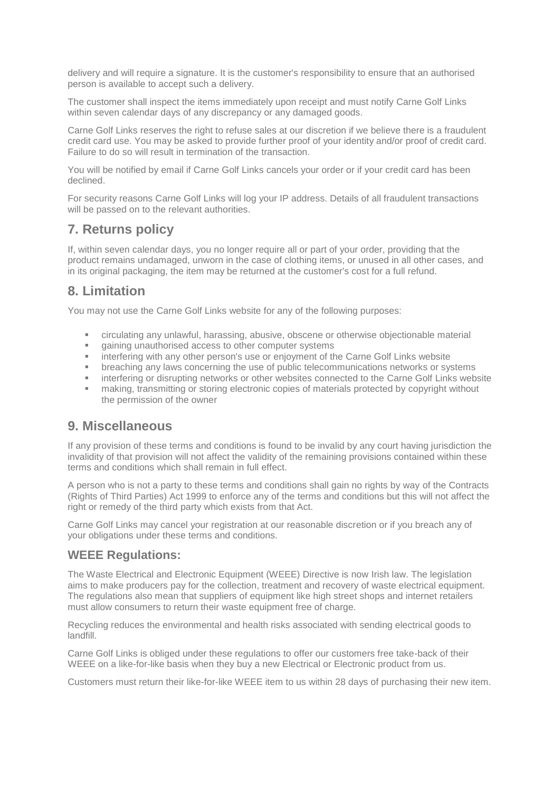delivery and will require a signature. It is the customer's responsibility to ensure that an authorised person is available to accept such a delivery.

The customer shall inspect the items immediately upon receipt and must notify Carne Golf Links within seven calendar days of any discrepancy or any damaged goods.

Carne Golf Links reserves the right to refuse sales at our discretion if we believe there is a fraudulent credit card use. You may be asked to provide further proof of your identity and/or proof of credit card. Failure to do so will result in termination of the transaction.

You will be notified by email if Carne Golf Links cancels your order or if your credit card has been declined.

For security reasons Carne Golf Links will log your IP address. Details of all fraudulent transactions will be passed on to the relevant authorities.

## **7. Returns policy**

If, within seven calendar days, you no longer require all or part of your order, providing that the product remains undamaged, unworn in the case of clothing items, or unused in all other cases, and in its original packaging, the item may be returned at the customer's cost for a full refund.

### **8. Limitation**

You may not use the Carne Golf Links website for any of the following purposes:

- circulating any unlawful, harassing, abusive, obscene or otherwise objectionable material
- **EXECUTER:** a computer systems
- **EXEDENT** interfering with any other person's use or enjoyment of the Carne Golf Links website
- **•** breaching any laws concerning the use of public telecommunications networks or systems
- interfering or disrupting networks or other websites connected to the Carne Golf Links website
- making, transmitting or storing electronic copies of materials protected by copyright without the permission of the owner

#### **9. Miscellaneous**

If any provision of these terms and conditions is found to be invalid by any court having jurisdiction the invalidity of that provision will not affect the validity of the remaining provisions contained within these terms and conditions which shall remain in full effect.

A person who is not a party to these terms and conditions shall gain no rights by way of the Contracts (Rights of Third Parties) Act 1999 to enforce any of the terms and conditions but this will not affect the right or remedy of the third party which exists from that Act.

Carne Golf Links may cancel your registration at our reasonable discretion or if you breach any of your obligations under these terms and conditions.

#### **WEEE Regulations:**

The Waste Electrical and Electronic Equipment (WEEE) Directive is now Irish law. The legislation aims to make producers pay for the collection, treatment and recovery of waste electrical equipment. The regulations also mean that suppliers of equipment like high street shops and internet retailers must allow consumers to return their waste equipment free of charge.

Recycling reduces the environmental and health risks associated with sending electrical goods to landfill.

Carne Golf Links is obliged under these regulations to offer our customers free take-back of their WEEE on a like-for-like basis when they buy a new Electrical or Electronic product from us.

Customers must return their like-for-like WEEE item to us within 28 days of purchasing their new item.